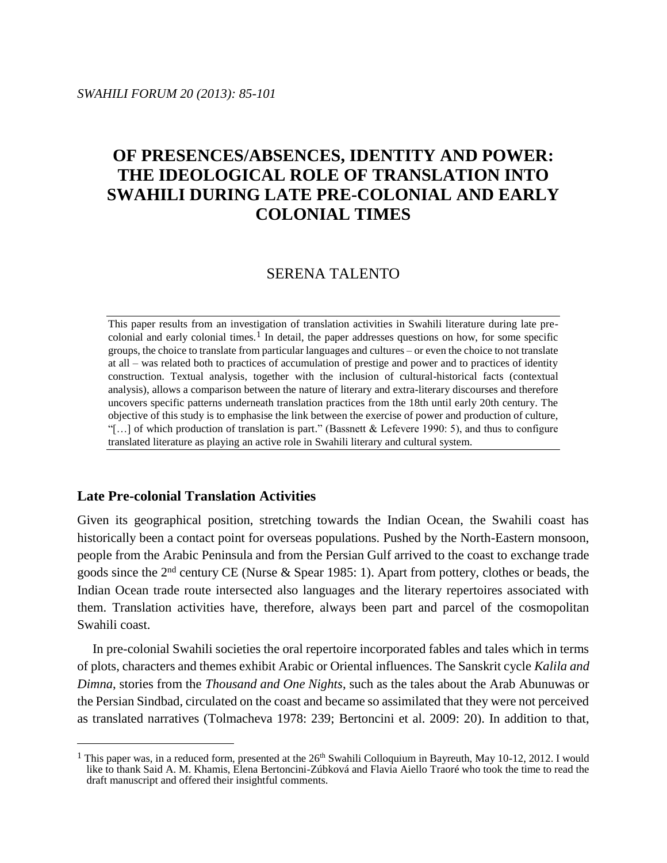# **OF PRESENCES/ABSENCES, IDENTITY AND POWER: THE IDEOLOGICAL ROLE OF TRANSLATION INTO SWAHILI DURING LATE PRE-COLONIAL AND EARLY COLONIAL TIMES**

## SERENA TALENTO

This paper results from an investigation of translation activities in Swahili literature during late precolonial and early colonial times.<sup>1</sup> In detail, the paper addresses questions on how, for some specific groups, the choice to translate from particular languages and cultures – or even the choice to not translate at all – was related both to practices of accumulation of prestige and power and to practices of identity construction. Textual analysis, together with the inclusion of cultural-historical facts (contextual analysis), allows a comparison between the nature of literary and extra-literary discourses and therefore uncovers specific patterns underneath translation practices from the 18th until early 20th century. The objective of this study is to emphasise the link between the exercise of power and production of culture, "[…] of which production of translation is part." (Bassnett & Lefevere 1990: 5), and thus to configure translated literature as playing an active role in Swahili literary and cultural system.

## **Late Pre-colonial Translation Activities**

 $\overline{a}$ 

Given its geographical position, stretching towards the Indian Ocean, the Swahili coast has historically been a contact point for overseas populations. Pushed by the North-Eastern monsoon, people from the Arabic Peninsula and from the Persian Gulf arrived to the coast to exchange trade goods since the 2nd century CE (Nurse & Spear 1985: 1). Apart from pottery, clothes or beads, the Indian Ocean trade route intersected also languages and the literary repertoires associated with them. Translation activities have, therefore, always been part and parcel of the cosmopolitan Swahili coast.

In pre-colonial Swahili societies the oral repertoire incorporated fables and tales which in terms of plots, characters and themes exhibit Arabic or Oriental influences. The Sanskrit cycle *Kalila and Dimna*, stories from the *Thousand and One Nights*, such as the tales about the Arab Abunuwas or the Persian Sindbad, circulated on the coast and became so assimilated that they were not perceived as translated narratives (Tolmacheva 1978: 239; Bertoncini et al. 2009: 20). In addition to that,

<sup>&</sup>lt;sup>1</sup> This paper was, in a reduced form, presented at the  $26<sup>th</sup>$  Swahili Colloquium in Bayreuth, May 10-12, 2012. I would like to thank Said A. M. Khamis, Elena Bertoncini-Zúbková and Flavia Aiello Traoré who took the time to read the draft manuscript and offered their insightful comments.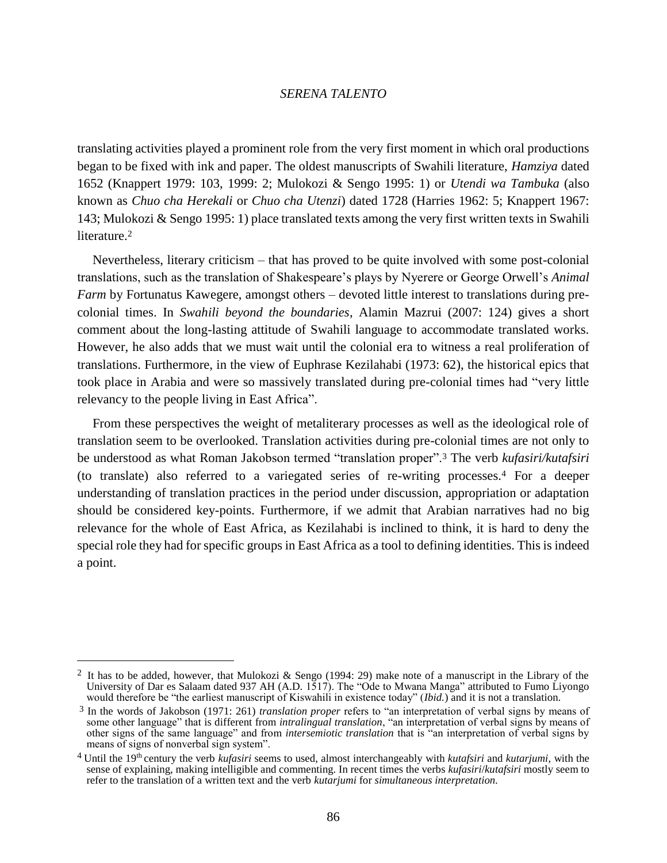translating activities played a prominent role from the very first moment in which oral productions began to be fixed with ink and paper. The oldest manuscripts of Swahili literature, *Hamziya* dated 1652 (Knappert 1979: 103, 1999: 2; Mulokozi & Sengo 1995: 1) or *Utendi wa Tambuka* (also known as *Chuo cha Herekali* or *Chuo cha Utenzi*) dated 1728 (Harries 1962: 5; Knappert 1967: 143; Mulokozi & Sengo 1995: 1) place translated texts among the very first written texts in Swahili literature.<sup>2</sup>

Nevertheless, literary criticism – that has proved to be quite involved with some post-colonial translations, such as the translation of Shakespeare's plays by Nyerere or George Orwell's *Animal Farm* by Fortunatus Kawegere, amongst others – devoted little interest to translations during precolonial times. In *Swahili beyond the boundaries*, Alamin Mazrui (2007: 124) gives a short comment about the long-lasting attitude of Swahili language to accommodate translated works. However, he also adds that we must wait until the colonial era to witness a real proliferation of translations. Furthermore, in the view of Euphrase Kezilahabi (1973: 62), the historical epics that took place in Arabia and were so massively translated during pre-colonial times had "very little relevancy to the people living in East Africa".

From these perspectives the weight of metaliterary processes as well as the ideological role of translation seem to be overlooked. Translation activities during pre-colonial times are not only to be understood as what Roman Jakobson termed "translation proper".<sup>3</sup> The verb *kufasiri/kutafsiri* (to translate) also referred to a variegated series of re-writing processes.<sup>4</sup> For a deeper understanding of translation practices in the period under discussion, appropriation or adaptation should be considered key-points. Furthermore, if we admit that Arabian narratives had no big relevance for the whole of East Africa, as Kezilahabi is inclined to think, it is hard to deny the special role they had for specific groups in East Africa as a tool to defining identities. This is indeed a point.

<sup>2</sup> It has to be added, however, that Mulokozi & Sengo (1994: 29) make note of a manuscript in the Library of the University of Dar es Salaam dated 937 AH (A.D. 1517). The "Ode to Mwana Manga" attributed to Fumo Liyongo would therefore be "the earliest manuscript of Kiswahili in existence today" (*Ibid.*) and it is not a translation.

<sup>3</sup> In the words of Jakobson (1971: 261) *translation proper* refers to "an interpretation of verbal signs by means of some other language" that is different from *intralingual translation*, "an interpretation of verbal signs by means of other signs of the same language" and from *intersemiotic translation* that is "an interpretation of verbal signs by means of signs of nonverbal sign system".

<sup>4</sup> Until the 19th century the verb *kufasiri* seems to used, almost interchangeably with *kutafsiri* and *kutarjumi*, with the sense of explaining, making intelligible and commenting. In recent times the verbs *kufasiri*/*kutafsiri* mostly seem to refer to the translation of a written text and the verb *kutarjumi* for *simultaneous interpretation.*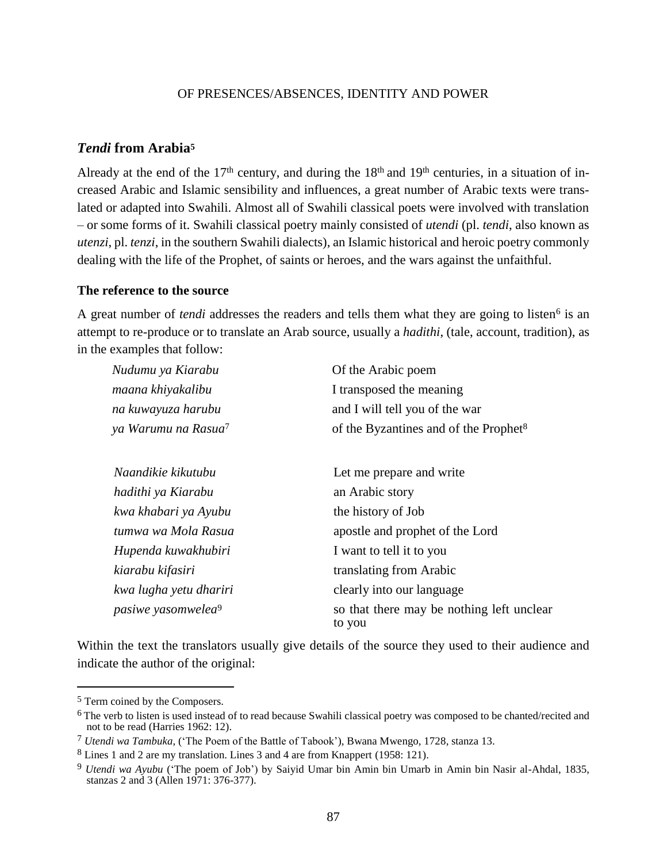## *Tendi* **from Arabia<sup>5</sup>**

Already at the end of the  $17<sup>th</sup>$  century, and during the  $18<sup>th</sup>$  and  $19<sup>th</sup>$  centuries, in a situation of increased Arabic and Islamic sensibility and influences, a great number of Arabic texts were translated or adapted into Swahili. Almost all of Swahili classical poets were involved with translation – or some forms of it. Swahili classical poetry mainly consisted of *utendi* (pl. *tendi*, also known as *utenzi*, pl. *tenzi*, in the southern Swahili dialects), an Islamic historical and heroic poetry commonly dealing with the life of the Prophet, of saints or heroes, and the wars against the unfaithful.

#### **The reference to the source**

A great number of *tendi* addresses the readers and tells them what they are going to listen<sup>6</sup> is an attempt to re-produce or to translate an Arab source, usually a *hadithi*, (tale, account, tradition), as in the examples that follow:

| Nudumu ya Kiarabu               | Of the Arabic poem                                  |  |
|---------------------------------|-----------------------------------------------------|--|
| maana khiyakalibu               | I transposed the meaning                            |  |
| na kuwayuza harubu              | and I will tell you of the war                      |  |
| ya Warumu na Rasua <sup>7</sup> | of the Byzantines and of the Prophet <sup>8</sup>   |  |
| Naandikie kikutubu              | Let me prepare and write                            |  |
| hadithi ya Kiarabu              | an Arabic story                                     |  |
| kwa khabari ya Ayubu            | the history of Job                                  |  |
| tumwa wa Mola Rasua             | apostle and prophet of the Lord                     |  |
| Hupenda kuwakhubiri             | I want to tell it to you                            |  |
| kiarabu kifasiri                | translating from Arabic                             |  |
| kwa lugha yetu dhariri          | clearly into our language                           |  |
| pasiwe yasomwelea <sup>9</sup>  | so that there may be nothing left unclear<br>to you |  |

Within the text the translators usually give details of the source they used to their audience and indicate the author of the original:

<sup>5</sup> Term coined by the Composers.

<sup>&</sup>lt;sup>6</sup> The verb to listen is used instead of to read because Swahili classical poetry was composed to be chanted/recited and not to be read (Harries 1962: 12).

<sup>7</sup> *Utendi wa Tambuka*, ('The Poem of the Battle of Tabook'), Bwana Mwengo, 1728, stanza 13.

<sup>8</sup> Lines 1 and 2 are my translation. Lines 3 and 4 are from Knappert (1958: 121).

<sup>9</sup> *Utendi wa Ayubu* ('The poem of Job') by Saiyid Umar bin Amin bin Umarb in Amin bin Nasir al-Ahdal, 1835, stanzas 2 and 3 (Allen 1971: 376-377).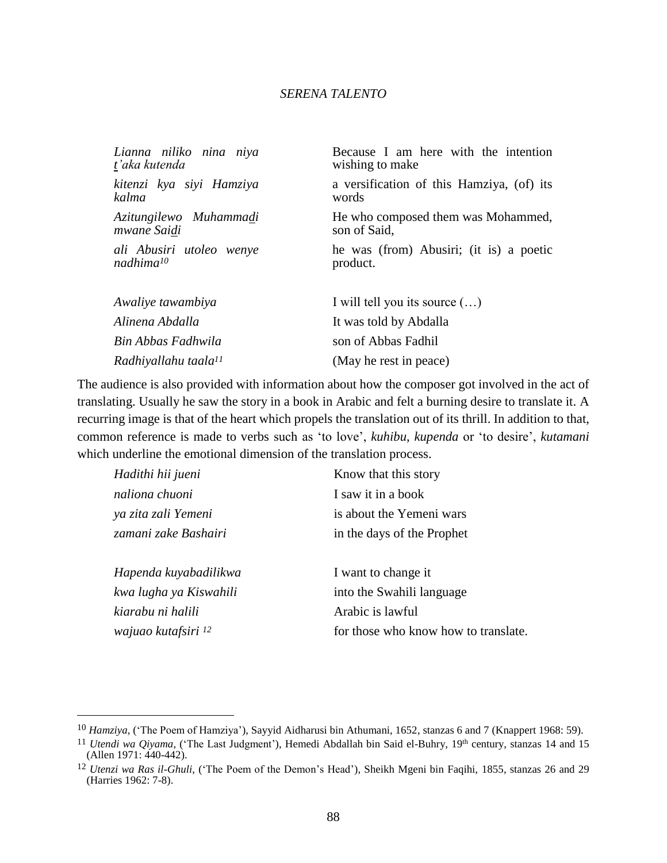| Lianna niliko nina niya          | Because I am here with the intention      |
|----------------------------------|-------------------------------------------|
| t'aka kutenda                    | wishing to make                           |
| kitenzi kya siyi Hamziya         | a versification of this Hamziya, (of) its |
| kalma                            | words                                     |
| Azitungilewo Muhammadi           | He who composed them was Mohammed,        |
| mwane Saidi                      | son of Said,                              |
| ali Abusiri utoleo wenye         | he was (from) Abusiri; (it is) a poetic   |
| $n \alpha dhima^{10}$            | product.                                  |
| Awaliye tawambiya                | I will tell you its source $(\ldots)$     |
| Alinena Abdalla                  | It was told by Abdalla                    |
| Bin Abbas Fadhwila               | son of Abbas Fadhil                       |
| Radhiyallahu taala <sup>11</sup> | (May he rest in peace)                    |

The audience is also provided with information about how the composer got involved in the act of translating. Usually he saw the story in a book in Arabic and felt a burning desire to translate it. A recurring image is that of the heart which propels the translation out of its thrill. In addition to that, common reference is made to verbs such as 'to love', *kuhibu*, *kupenda* or 'to desire', *kutamani* which underline the emotional dimension of the translation process.

| Hadithi hii jueni              | Know that this story                 |
|--------------------------------|--------------------------------------|
| naliona chuoni                 | I saw it in a book                   |
| ya zita zali Yemeni            | is about the Yemeni wars             |
| zamani zake Bashairi           | in the days of the Prophet           |
|                                |                                      |
| Hapenda kuyabadilikwa          | I want to change it                  |
| kwa lugha ya Kiswahili         | into the Swahili language            |
| kiarabu ni halili              | Arabic is lawful                     |
| wajuao kutafsiri <sup>12</sup> | for those who know how to translate. |

<sup>&</sup>lt;sup>10</sup> *Hamziya*, ('The Poem of Hamziya'), Sayyid Aidharusi bin Athumani, 1652, stanzas 6 and 7 (Knappert 1968: 59).

<sup>&</sup>lt;sup>11</sup> *Utendi wa Qiyama*, ('The Last Judgment'), Hemedi Abdallah bin Said el-Buhry, 19<sup>th</sup> century, stanzas 14 and 15 (Allen 1971: 440-442).

<sup>12</sup> *Utenzi wa Ras il-Ghuli*, ('The Poem of the Demon's Head'), Sheikh Mgeni bin Faqihi, 1855, stanzas 26 and 29 (Harries 1962: 7-8).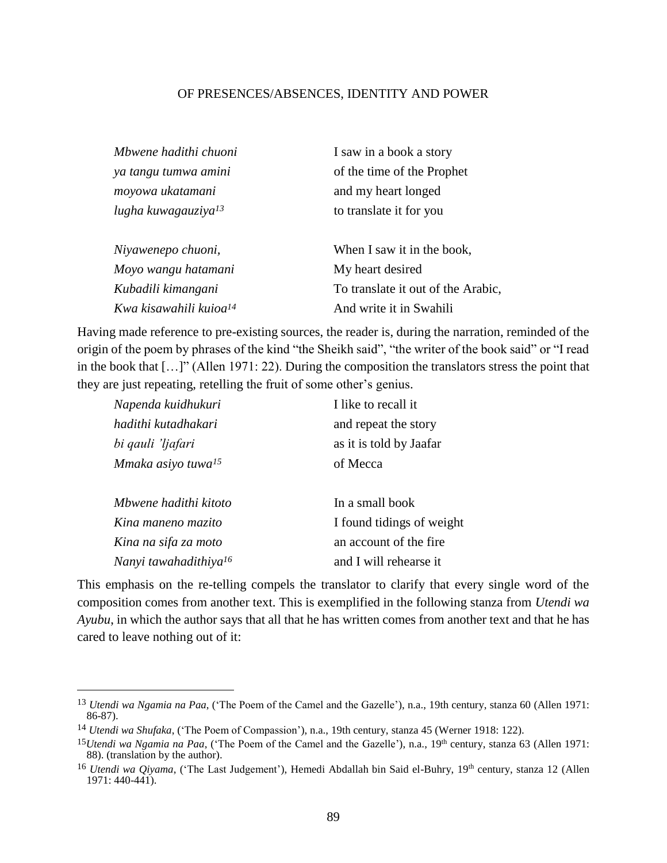| Mbwene hadithi chuoni              | I saw in a book a story            |
|------------------------------------|------------------------------------|
| ya tangu tumwa amini               | of the time of the Prophet         |
| moyowa ukatamani                   | and my heart longed                |
| lugha kuwagauziya <sup>13</sup>    | to translate it for you            |
| Niyawenepo chuoni,                 | When I saw it in the book,         |
| Moyo wangu hatamani                | My heart desired                   |
| Kubadili kimangani                 | To translate it out of the Arabic, |
| Kwa kisawahili kuioa <sup>14</sup> | And write it in Swahili            |

Having made reference to pre-existing sources, the reader is, during the narration, reminded of the origin of the poem by phrases of the kind "the Sheikh said", "the writer of the book said" or "I read in the book that […]" (Allen 1971: 22). During the composition the translators stress the point that they are just repeating, retelling the fruit of some other's genius.

| Napenda kuidhukuri                | I like to recall it       |
|-----------------------------------|---------------------------|
| hadithi kutadhakari               | and repeat the story      |
| bi qauli 'ljafari                 | as it is told by Jaafar   |
| Mmaka asiyo tuwa <sup>15</sup>    | of Mecca                  |
| Mbwene hadithi kitoto             | In a small book           |
| Kina maneno mazito                | I found tidings of weight |
| Kina na sifa za moto              | an account of the fire    |
| Nanyi tawahadithiya <sup>16</sup> | and I will rehearse it    |

This emphasis on the re-telling compels the translator to clarify that every single word of the composition comes from another text. This is exemplified in the following stanza from *Utendi wa Ayubu*, in which the author says that all that he has written comes from another text and that he has cared to leave nothing out of it:

<sup>13</sup> *Utendi wa Ngamia na Paa*, ('The Poem of the Camel and the Gazelle'), n.a., 19th century, stanza 60 (Allen 1971: 86-87).

<sup>14</sup> *Utendi wa Shufaka*, ('The Poem of Compassion'), n.a., 19th century, stanza 45 (Werner 1918: 122).

<sup>&</sup>lt;sup>15</sup>*Utendi wa Ngamia na Paa*, ('The Poem of the Camel and the Gazelle'), n.a., 19<sup>th</sup> century, stanza 63 (Allen 1971: 88). (translation by the author).

<sup>&</sup>lt;sup>16</sup> *Utendi wa Qiyama*, ('The Last Judgement'), Hemedi Abdallah bin Said el-Buhry, 19<sup>th</sup> century, stanza 12 (Allen  $1971: 440 - 441$ ).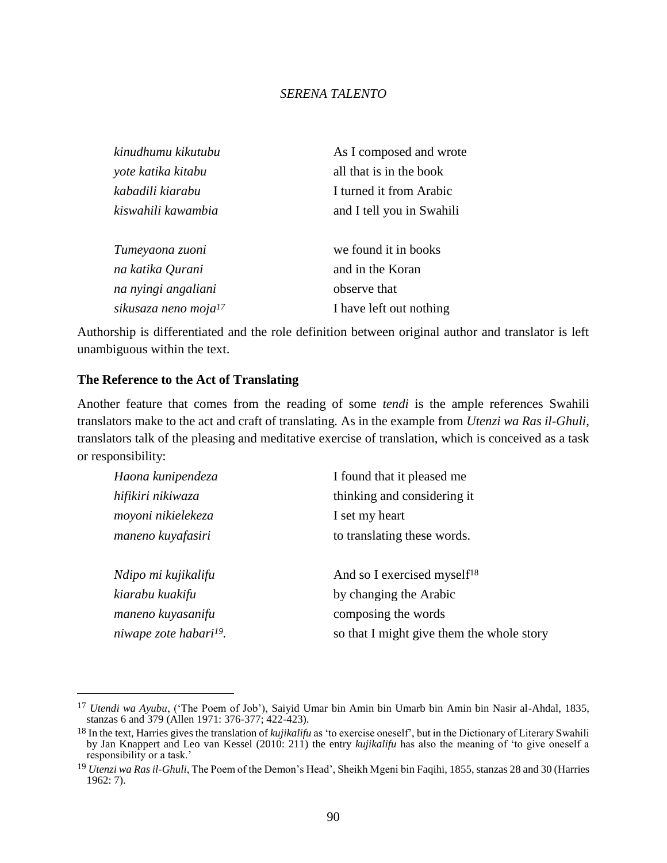| kinudhumu kikutubu               | As I composed and wrote   |
|----------------------------------|---------------------------|
| yote katika kitabu               | all that is in the book   |
| kabadili kiarabu                 | I turned it from Arabic   |
| kiswahili kawambia               | and I tell you in Swahili |
| Tumeyaona zuoni                  | we found it in books      |
| na katika Qurani                 | and in the Koran          |
| na nyingi angaliani              | observe that              |
| sikusaza neno moja <sup>17</sup> | I have left out nothing   |

Authorship is differentiated and the role definition between original author and translator is left unambiguous within the text.

## **The Reference to the Act of Translating**

 $\overline{a}$ 

Another feature that comes from the reading of some *tendi* is the ample references Swahili translators make to the act and craft of translating. As in the example from *Utenzi wa Ras il-Ghuli*, translators talk of the pleasing and meditative exercise of translation, which is conceived as a task or responsibility:

| Haona kunipendeza                  | I found that it pleased me                |
|------------------------------------|-------------------------------------------|
| hifikiri nikiwaza                  | thinking and considering it               |
| moyoni nikielekeza                 | I set my heart                            |
| maneno kuyafasiri                  | to translating these words.               |
|                                    |                                           |
| Ndipo mi kujikalifu                | And so I exercised myself <sup>18</sup>   |
| kiarabu kuakifu                    | by changing the Arabic                    |
| maneno kuyasanifu                  | composing the words                       |
| niwape zote habari <sup>19</sup> . | so that I might give them the whole story |
|                                    |                                           |

<sup>17</sup> *Utendi wa Ayubu*, ('The Poem of Job'), Saiyid Umar bin Amin bin Umarb bin Amin bin Nasir al-Ahdal, 1835, stanzas 6 and 379 (Allen 1971: 376-377; 422-423).

<sup>18</sup> In the text, Harries gives the translation of *kujikalifu* as 'to exercise oneself', but in the Dictionary of Literary Swahili by Jan Knappert and Leo van Kessel (2010: 211) the entry *kujikalifu* has also the meaning of 'to give oneself a responsibility or a task.'

<sup>19</sup> *Utenzi wa Ras il-Ghuli*, The Poem of the Demon's Head', Sheikh Mgeni bin Faqihi, 1855, stanzas 28 and 30 (Harries 1962: 7).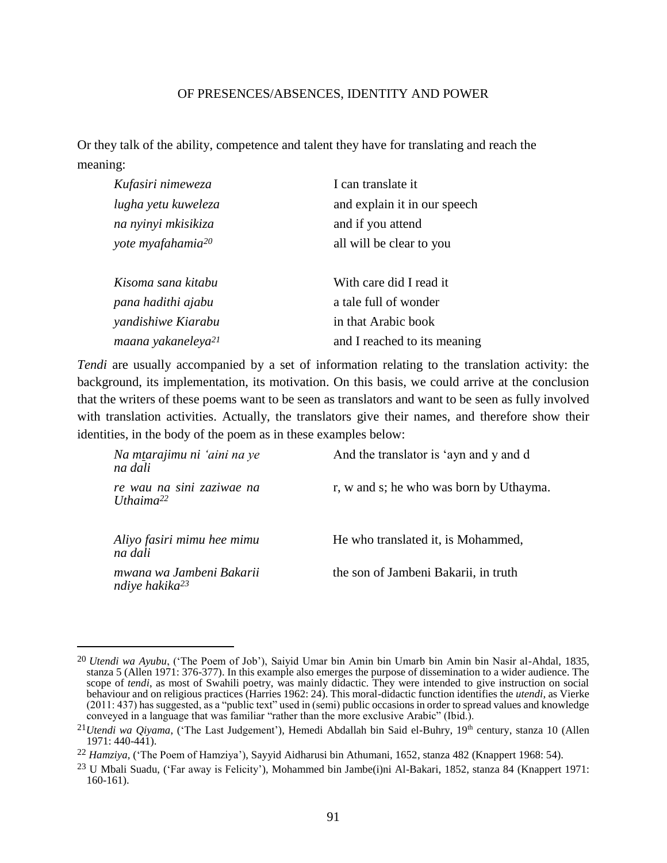Or they talk of the ability, competence and talent they have for translating and reach the meaning:

| Kufasiri nimeweza              | I can translate it           |
|--------------------------------|------------------------------|
| lugha yetu kuweleza            | and explain it in our speech |
| na nyinyi mkisikiza            | and if you attend            |
| yote myafahamia <sup>20</sup>  | all will be clear to you     |
| Kisoma sana kitabu             | With care did I read it      |
| pana hadithi ajabu             | a tale full of wonder        |
| yandishiwe Kiarabu             | in that Arabic book          |
| maana yakaneleya <sup>21</sup> | and I reached to its meaning |

*Tendi* are usually accompanied by a set of information relating to the translation activity: the background, its implementation, its motivation. On this basis, we could arrive at the conclusion that the writers of these poems want to be seen as translators and want to be seen as fully involved with translation activities. Actually, the translators give their names, and therefore show their identities, in the body of the poem as in these examples below:

| Na mtarajimu ni 'aini na ye<br>na dali                 | And the translator is 'ayn and y and d  |
|--------------------------------------------------------|-----------------------------------------|
| re wau na sini zaziwae na<br>Uthaima <sup>22</sup>     | r, w and s; he who was born by Uthayma. |
| Aliyo fasiri mimu hee mimu<br>na dali                  | He who translated it, is Mohammed,      |
| mwana wa Jambeni Bakarii<br>ndiye hakika <sup>23</sup> | the son of Jambeni Bakarii, in truth    |

<sup>20</sup> *Utendi wa Ayubu*, ('The Poem of Job'), Saiyid Umar bin Amin bin Umarb bin Amin bin Nasir al-Ahdal, 1835, stanza 5 (Allen 1971: 376-377). In this example also emerges the purpose of dissemination to a wider audience. The scope of *tendi*, as most of Swahili poetry, was mainly didactic. They were intended to give instruction on social behaviour and on religious practices (Harries 1962: 24). This moral-didactic function identifies the *utendi*, as Vierke (2011: 437) has suggested, as a "public text" used in (semi) public occasions in order to spread values and knowledge conveyed in a language that was familiar "rather than the more exclusive Arabic" (Ibid.).

<sup>&</sup>lt;sup>21</sup>*Utendi wa Qiyama*, ('The Last Judgement'), Hemedi Abdallah bin Said el-Buhry, 19<sup>th</sup> century, stanza 10 (Allen  $1971: 440 - 441$ .

<sup>22</sup> *Hamziya*, ('The Poem of Hamziya'), Sayyid Aidharusi bin Athumani, 1652, stanza 482 (Knappert 1968: 54).

<sup>23</sup> U Mbali Suadu, ('Far away is Felicity'), Mohammed bin Jambe(i)ni Al-Bakari, 1852, stanza 84 (Knappert 1971: 160-161).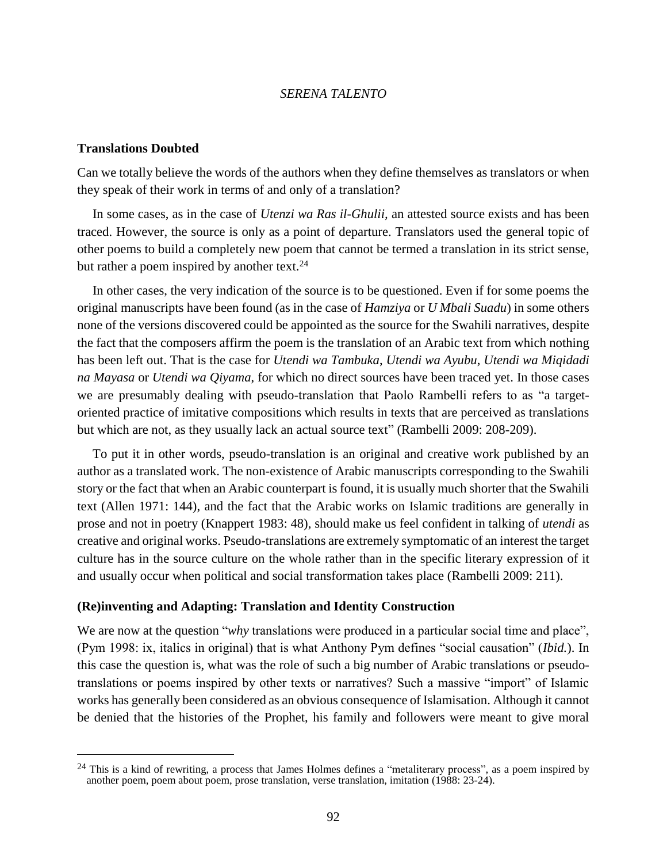#### **Translations Doubted**

 $\overline{a}$ 

Can we totally believe the words of the authors when they define themselves as translators or when they speak of their work in terms of and only of a translation?

In some cases, as in the case of *Utenzi wa Ras il-Ghulii,* an attested source exists and has been traced. However, the source is only as a point of departure. Translators used the general topic of other poems to build a completely new poem that cannot be termed a translation in its strict sense, but rather a poem inspired by another text.<sup>24</sup>

In other cases, the very indication of the source is to be questioned. Even if for some poems the original manuscripts have been found (as in the case of *Hamziya* or *U Mbali Suadu*) in some others none of the versions discovered could be appointed as the source for the Swahili narratives, despite the fact that the composers affirm the poem is the translation of an Arabic text from which nothing has been left out. That is the case for *Utendi wa Tambuka*, *Utendi wa Ayubu*, *Utendi wa Miqidadi na Mayasa* or *Utendi wa Qiyama*, for which no direct sources have been traced yet. In those cases we are presumably dealing with pseudo-translation that Paolo Rambelli refers to as "a targetoriented practice of imitative compositions which results in texts that are perceived as translations but which are not, as they usually lack an actual source text" (Rambelli 2009: 208-209).

To put it in other words, pseudo-translation is an original and creative work published by an author as a translated work. The non-existence of Arabic manuscripts corresponding to the Swahili story or the fact that when an Arabic counterpart is found, it is usually much shorter that the Swahili text (Allen 1971: 144), and the fact that the Arabic works on Islamic traditions are generally in prose and not in poetry (Knappert 1983: 48), should make us feel confident in talking of *utendi* as creative and original works. Pseudo-translations are extremely symptomatic of an interest the target culture has in the source culture on the whole rather than in the specific literary expression of it and usually occur when political and social transformation takes place (Rambelli 2009: 211).

## **(Re)inventing and Adapting: Translation and Identity Construction**

We are now at the question "*why* translations were produced in a particular social time and place", (Pym 1998: ix, italics in original) that is what Anthony Pym defines "social causation" (*Ibid.*). In this case the question is, what was the role of such a big number of Arabic translations or pseudotranslations or poems inspired by other texts or narratives? Such a massive "import" of Islamic works has generally been considered as an obvious consequence of Islamisation. Although it cannot be denied that the histories of the Prophet, his family and followers were meant to give moral

<sup>&</sup>lt;sup>24</sup> This is a kind of rewriting, a process that James Holmes defines a "metaliterary process", as a poem inspired by another poem, poem about poem, prose translation, verse translation, imitation (1988: 23-24).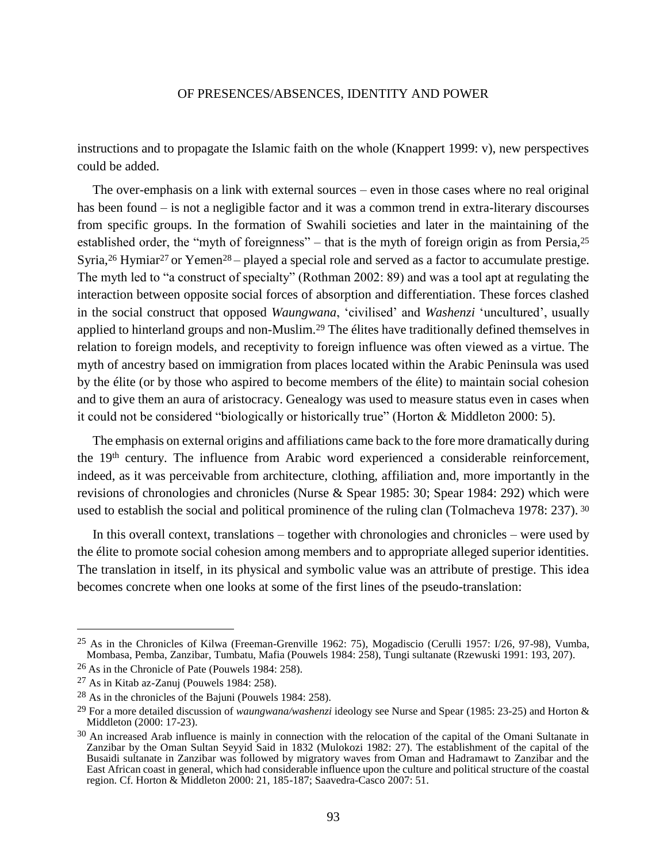instructions and to propagate the Islamic faith on the whole (Knappert 1999: v), new perspectives could be added.

The over-emphasis on a link with external sources – even in those cases where no real original has been found – is not a negligible factor and it was a common trend in extra-literary discourses from specific groups. In the formation of Swahili societies and later in the maintaining of the established order, the "myth of foreignness" – that is the myth of foreign origin as from Persia,<sup>25</sup> Syria,<sup>26</sup> Hymiar<sup>27</sup> or Yemen<sup>28</sup> – played a special role and served as a factor to accumulate prestige. The myth led to "a construct of specialty" (Rothman 2002: 89) and was a tool apt at regulating the interaction between opposite social forces of absorption and differentiation. These forces clashed in the social construct that opposed *Waungwana*, 'civilised' and *Washenzi* 'uncultured', usually applied to hinterland groups and non-Muslim.<sup>29</sup> The élites have traditionally defined themselves in relation to foreign models, and receptivity to foreign influence was often viewed as a virtue. The myth of ancestry based on immigration from places located within the Arabic Peninsula was used by the élite (or by those who aspired to become members of the élite) to maintain social cohesion and to give them an aura of aristocracy. Genealogy was used to measure status even in cases when it could not be considered "biologically or historically true" (Horton & Middleton 2000: 5).

The emphasis on external origins and affiliations came back to the fore more dramatically during the 19th century. The influence from Arabic word experienced a considerable reinforcement, indeed, as it was perceivable from architecture, clothing, affiliation and, more importantly in the revisions of chronologies and chronicles (Nurse & Spear 1985: 30; Spear 1984: 292) which were used to establish the social and political prominence of the ruling clan (Tolmacheva 1978: 237). <sup>30</sup>

In this overall context, translations – together with chronologies and chronicles – were used by the élite to promote social cohesion among members and to appropriate alleged superior identities. The translation in itself, in its physical and symbolic value was an attribute of prestige. This idea becomes concrete when one looks at some of the first lines of the pseudo-translation:

<sup>25</sup> As in the Chronicles of Kilwa (Freeman-Grenville 1962: 75), Mogadiscio (Cerulli 1957: I/26, 97-98), Vumba, Mombasa, Pemba, Zanzibar, Tumbatu, Mafia (Pouwels 1984: 258), Tungi sultanate (Rzewuski 1991: 193, 207).

<sup>26</sup> As in the Chronicle of Pate (Pouwels 1984: 258).

<sup>27</sup> As in Kitab az-Zanuj (Pouwels 1984: 258).

<sup>28</sup> As in the chronicles of the Bajuni (Pouwels 1984: 258).

<sup>29</sup> For a more detailed discussion of *waungwana/washenzi* ideology see Nurse and Spear (1985: 23-25) and Horton & Middleton (2000: 17-23).

 $30$  An increased Arab influence is mainly in connection with the relocation of the capital of the Omani Sultanate in Zanzibar by the Oman Sultan Seyyid Said in 1832 (Mulokozi 1982: 27). The establishment of the capital of the Busaidi sultanate in Zanzibar was followed by migratory waves from Oman and Hadramawt to Zanzibar and the East African coast in general, which had considerable influence upon the culture and political structure of the coastal region. Cf. Horton & Middleton 2000: 21, 185-187; Saavedra-Casco 2007: 51.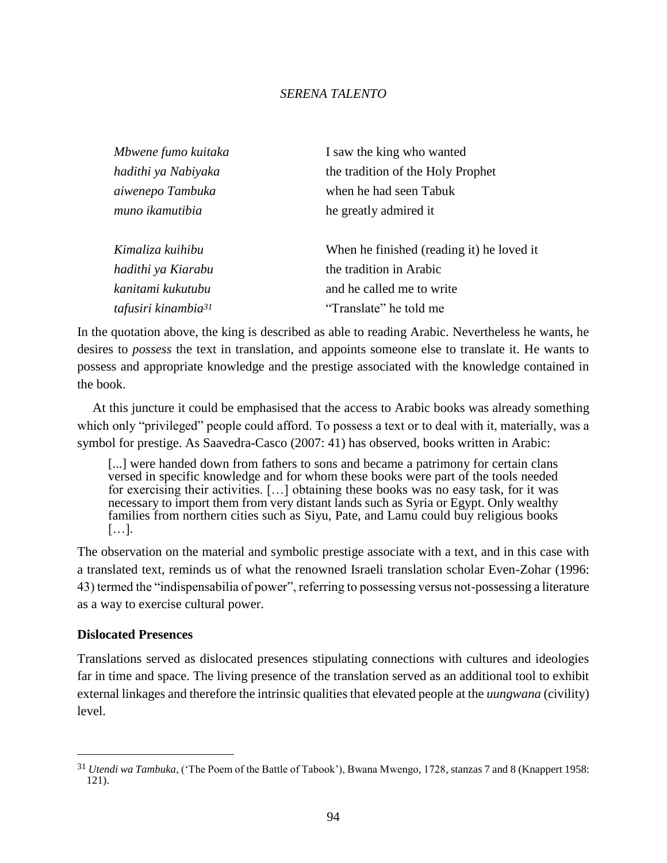| Mbwene fumo kuitaka             | I saw the king who wanted                 |
|---------------------------------|-------------------------------------------|
| hadithi ya Nabiyaka             | the tradition of the Holy Prophet         |
| aiwenepo Tambuka                | when he had seen Tabuk                    |
| muno ikamutibia                 | he greatly admired it                     |
| Kimaliza kuihibu                | When he finished (reading it) he loved it |
| hadithi ya Kiarabu              | the tradition in Arabic                   |
| kanitami kukutubu               | and he called me to write                 |
| tafusiri kinambia <sup>31</sup> | "Translate" he told me                    |

In the quotation above, the king is described as able to reading Arabic. Nevertheless he wants, he desires to *possess* the text in translation, and appoints someone else to translate it. He wants to possess and appropriate knowledge and the prestige associated with the knowledge contained in the book.

At this juncture it could be emphasised that the access to Arabic books was already something which only "privileged" people could afford. To possess a text or to deal with it, materially, was a symbol for prestige. As Saavedra-Casco (2007: 41) has observed, books written in Arabic:

[...] were handed down from fathers to sons and became a patrimony for certain clans versed in specific knowledge and for whom these books were part of the tools needed for exercising their activities. […] obtaining these books was no easy task, for it was necessary to import them from very distant lands such as Syria or Egypt. Only wealthy families from northern cities such as Siyu, Pate, and Lamu could buy religious books […].

The observation on the material and symbolic prestige associate with a text, and in this case with a translated text, reminds us of what the renowned Israeli translation scholar Even-Zohar (1996: 43) termed the "indispensabilia of power", referring to possessing versus not-possessing a literature as a way to exercise cultural power.

## **Dislocated Presences**

 $\overline{a}$ 

Translations served as dislocated presences stipulating connections with cultures and ideologies far in time and space. The living presence of the translation served as an additional tool to exhibit external linkages and therefore the intrinsic qualities that elevated people at the *uungwana* (civility) level.

<sup>31</sup> *Utendi wa Tambuka*, ('The Poem of the Battle of Tabook'), Bwana Mwengo, 1728, stanzas 7 and 8 (Knappert 1958: 121).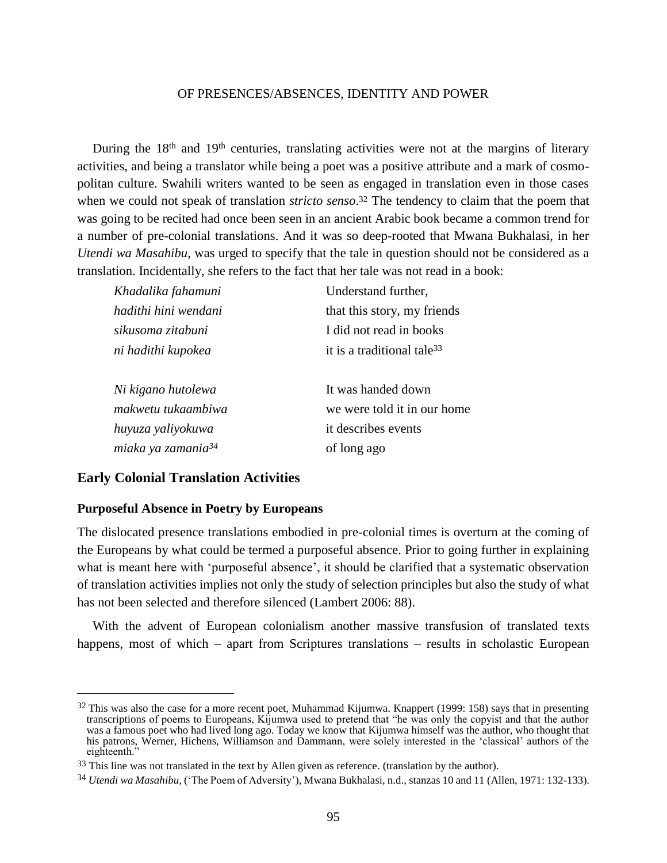During the 18<sup>th</sup> and 19<sup>th</sup> centuries, translating activities were not at the margins of literary activities, and being a translator while being a poet was a positive attribute and a mark of cosmopolitan culture. Swahili writers wanted to be seen as engaged in translation even in those cases when we could not speak of translation *stricto senso*. <sup>32</sup> The tendency to claim that the poem that was going to be recited had once been seen in an ancient Arabic book became a common trend for a number of pre-colonial translations. And it was so deep-rooted that Mwana Bukhalasi, in her *Utendi wa Masahibu*, was urged to specify that the tale in question should not be considered as a translation. Incidentally, she refers to the fact that her tale was not read in a book:

| Khadalika fahamuni             | Understand further,                    |
|--------------------------------|----------------------------------------|
| hadithi hini wendani           | that this story, my friends            |
| sikusoma zitabuni              | I did not read in books                |
| ni hadithi kupokea             | it is a traditional tale <sup>33</sup> |
|                                |                                        |
| Ni kigano hutolewa             | It was handed down                     |
| makwetu tukaambiwa             | we were told it in our home            |
| huyuza yaliyokuwa              | it describes events                    |
| miaka ya zamania <sup>34</sup> |                                        |

## **Early Colonial Translation Activities**

 $\overline{a}$ 

#### **Purposeful Absence in Poetry by Europeans**

The dislocated presence translations embodied in pre-colonial times is overturn at the coming of the Europeans by what could be termed a purposeful absence. Prior to going further in explaining what is meant here with 'purposeful absence', it should be clarified that a systematic observation of translation activities implies not only the study of selection principles but also the study of what has not been selected and therefore silenced (Lambert 2006: 88).

With the advent of European colonialism another massive transfusion of translated texts happens, most of which – apart from Scriptures translations – results in scholastic European

 $32$  This was also the case for a more recent poet, Muhammad Kijumwa. Knappert (1999: 158) says that in presenting transcriptions of poems to Europeans, Kijumwa used to pretend that "he was only the copyist and that the author was a famous poet who had lived long ago. Today we know that Kijumwa himself was the author, who thought that his patrons, Werner, Hichens, Williamson and Dammann, were solely interested in the 'classical' authors of the eighteenth."

<sup>&</sup>lt;sup>33</sup> This line was not translated in the text by Allen given as reference. (translation by the author).

<sup>34</sup> *Utendi wa Masahibu*, ('The Poem of Adversity'), Mwana Bukhalasi, n.d., stanzas 10 and 11 (Allen, 1971: 132-133).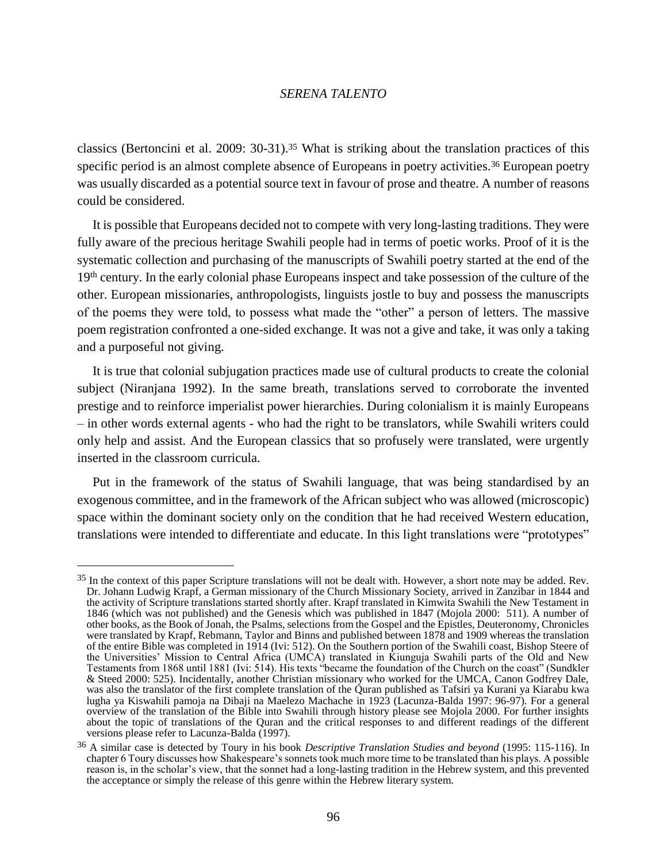classics (Bertoncini et al. 2009: 30-31).<sup>35</sup> What is striking about the translation practices of this specific period is an almost complete absence of Europeans in poetry activities.<sup>36</sup> European poetry was usually discarded as a potential source text in favour of prose and theatre. A number of reasons could be considered.

It is possible that Europeans decided not to compete with very long-lasting traditions. They were fully aware of the precious heritage Swahili people had in terms of poetic works. Proof of it is the systematic collection and purchasing of the manuscripts of Swahili poetry started at the end of the 19<sup>th</sup> century. In the early colonial phase Europeans inspect and take possession of the culture of the other. European missionaries, anthropologists, linguists jostle to buy and possess the manuscripts of the poems they were told, to possess what made the "other" a person of letters. The massive poem registration confronted a one-sided exchange. It was not a give and take, it was only a taking and a purposeful not giving.

It is true that colonial subjugation practices made use of cultural products to create the colonial subject (Niranjana 1992). In the same breath, translations served to corroborate the invented prestige and to reinforce imperialist power hierarchies. During colonialism it is mainly Europeans – in other words external agents - who had the right to be translators, while Swahili writers could only help and assist. And the European classics that so profusely were translated, were urgently inserted in the classroom curricula.

Put in the framework of the status of Swahili language, that was being standardised by an exogenous committee, and in the framework of the African subject who was allowed (microscopic) space within the dominant society only on the condition that he had received Western education, translations were intended to differentiate and educate. In this light translations were "prototypes"

<sup>&</sup>lt;sup>35</sup> In the context of this paper Scripture translations will not be dealt with. However, a short note may be added. Rev. Dr. Johann Ludwig Krapf, a German missionary of the Church Missionary Society, arrived in Zanzibar in 1844 and the activity of Scripture translations started shortly after. Krapf translated in Kimwita Swahili the New Testament in 1846 (which was not published) and the Genesis which was published in 1847 (Mojola 2000: 511). A number of other books, as the Book of Jonah, the Psalms, selections from the Gospel and the Epistles, Deuteronomy, Chronicles were translated by Krapf, Rebmann, Taylor and Binns and published between 1878 and 1909 whereas the translation of the entire Bible was completed in 1914 (Ivi: 512). On the Southern portion of the Swahili coast, Bishop Steere of the Universities' Mission to Central Africa (UMCA) translated in Kiunguja Swahili parts of the Old and New Testaments from 1868 until 1881 (Ivi: 514). His texts "became the foundation of the Church on the coast" (Sundkler & Steed 2000: 525). Incidentally, another Christian missionary who worked for the UMCA, Canon Godfrey Dale, was also the translator of the first complete translation of the Quran published as Tafsiri ya Kurani ya Kiarabu kwa lugha ya Kiswahili pamoja na Dibaji na Maelezo Machache in 1923 (Lacunza-Balda 1997: 96-97). For a general overview of the translation of the Bible into Swahili through history please see Mojola 2000. For further insights about the topic of translations of the Quran and the critical responses to and different readings of the different versions please refer to Lacunza-Balda (1997).

<sup>36</sup> A similar case is detected by Toury in his book *Descriptive Translation Studies and beyond* (1995: 115-116). In chapter 6 Toury discusses how Shakespeare's sonnets took much more time to be translated than his plays. A possible reason is, in the scholar's view, that the sonnet had a long-lasting tradition in the Hebrew system, and this prevented the acceptance or simply the release of this genre within the Hebrew literary system.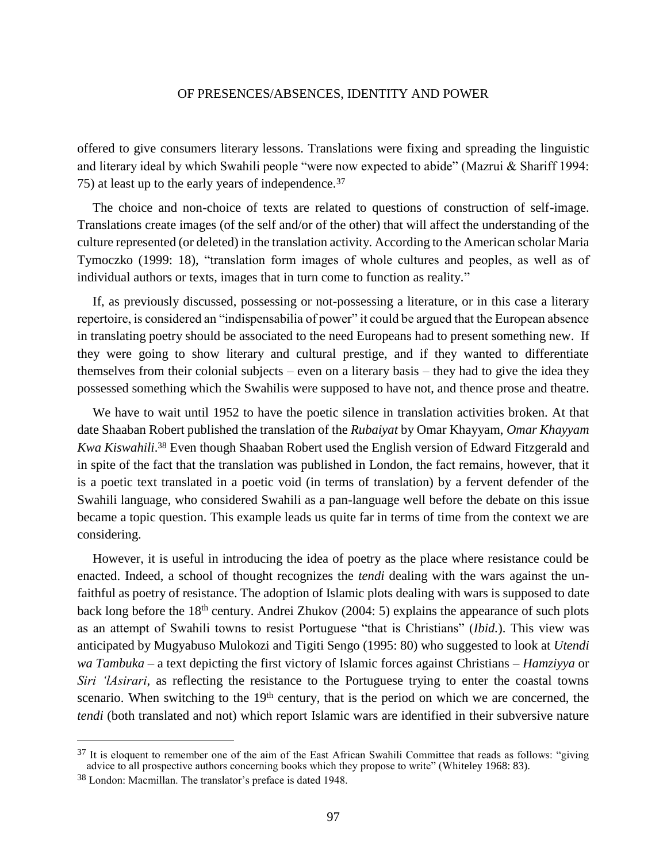offered to give consumers literary lessons. Translations were fixing and spreading the linguistic and literary ideal by which Swahili people "were now expected to abide" (Mazrui & Shariff 1994: 75) at least up to the early years of independence.<sup>37</sup>

The choice and non-choice of texts are related to questions of construction of self-image. Translations create images (of the self and/or of the other) that will affect the understanding of the culture represented (or deleted) in the translation activity. According to the American scholar Maria Tymoczko (1999: 18), "translation form images of whole cultures and peoples, as well as of individual authors or texts, images that in turn come to function as reality*.*"

If, as previously discussed, possessing or not-possessing a literature, or in this case a literary repertoire, is considered an "indispensabilia of power" it could be argued that the European absence in translating poetry should be associated to the need Europeans had to present something new. If they were going to show literary and cultural prestige, and if they wanted to differentiate themselves from their colonial subjects – even on a literary basis – they had to give the idea they possessed something which the Swahilis were supposed to have not, and thence prose and theatre.

We have to wait until 1952 to have the poetic silence in translation activities broken. At that date Shaaban Robert published the translation of the *Rubaiyat* by Omar Khayyam, *Omar Khayyam Kwa Kiswahili*. <sup>38</sup> Even though Shaaban Robert used the English version of Edward Fitzgerald and in spite of the fact that the translation was published in London, the fact remains, however, that it is a poetic text translated in a poetic void (in terms of translation) by a fervent defender of the Swahili language, who considered Swahili as a pan-language well before the debate on this issue became a topic question. This example leads us quite far in terms of time from the context we are considering.

However, it is useful in introducing the idea of poetry as the place where resistance could be enacted. Indeed, a school of thought recognizes the *tendi* dealing with the wars against the unfaithful as poetry of resistance. The adoption of Islamic plots dealing with wars is supposed to date back long before the 18<sup>th</sup> century. Andrei Zhukov (2004: 5) explains the appearance of such plots as an attempt of Swahili towns to resist Portuguese "that is Christians" (*Ibid.*). This view was anticipated by Mugyabuso Mulokozi and Tigiti Sengo (1995: 80) who suggested to look at *Utendi wa Tambuka* – a text depicting the first victory of Islamic forces against Christians – *Hamziyya* or *Siri 'lAsirari*, as reflecting the resistance to the Portuguese trying to enter the coastal towns scenario. When switching to the 19<sup>th</sup> century, that is the period on which we are concerned, the *tendi* (both translated and not) which report Islamic wars are identified in their subversive nature

<sup>&</sup>lt;sup>37</sup> It is eloquent to remember one of the aim of the East African Swahili Committee that reads as follows: "giving advice to all prospective authors concerning books which they propose to write" (Whiteley 1968: 83).

<sup>38</sup> London: Macmillan. The translator's preface is dated 1948.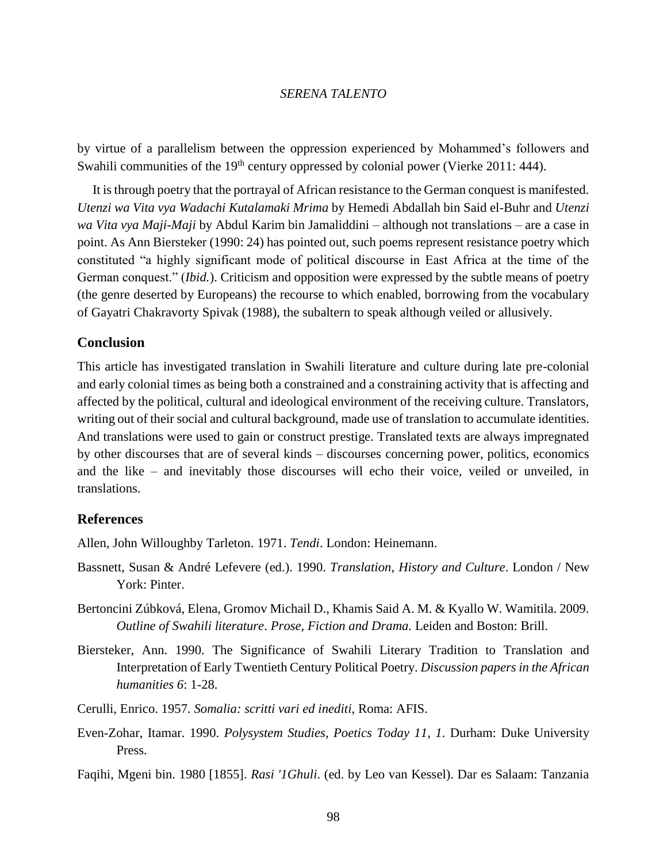by virtue of a parallelism between the oppression experienced by Mohammed's followers and Swahili communities of the 19<sup>th</sup> century oppressed by colonial power (Vierke 2011: 444).

It is through poetry that the portrayal of African resistance to the German conquest is manifested. *Utenzi wa Vita vya Wadachi Kutalamaki Mrima* by Hemedi Abdallah bin Said el-Buhr and *Utenzi wa Vita vya Maji-Maji* by Abdul Karim bin Jamaliddini – although not translations – are a case in point. As Ann Biersteker (1990: 24) has pointed out, such poems represent resistance poetry which constituted "a highly significant mode of political discourse in East Africa at the time of the German conquest." (*Ibid.*). Criticism and opposition were expressed by the subtle means of poetry (the genre deserted by Europeans) the recourse to which enabled, borrowing from the vocabulary of Gayatri Chakravorty Spivak (1988), the subaltern to speak although veiled or allusively.

## **Conclusion**

This article has investigated translation in Swahili literature and culture during late pre-colonial and early colonial times as being both a constrained and a constraining activity that is affecting and affected by the political, cultural and ideological environment of the receiving culture. Translators, writing out of their social and cultural background, made use of translation to accumulate identities. And translations were used to gain or construct prestige. Translated texts are always impregnated by other discourses that are of several kinds – discourses concerning power, politics, economics and the like – and inevitably those discourses will echo their voice, veiled or unveiled, in translations.

#### **References**

Allen, John Willoughby Tarleton. 1971. *Tendi*. London: Heinemann.

- Bassnett, Susan & André Lefevere (ed.). 1990. *Translation*, *History and Culture*. London / New York: Pinter.
- Bertoncini Zúbková, Elena, Gromov Michail D., Khamis Said A. M. & Kyallo W. Wamitila. 2009. *Outline of Swahili literature*. *Prose, Fiction and Drama.* Leiden and Boston: Brill.
- Biersteker, Ann. 1990. The Significance of Swahili Literary Tradition to Translation and Interpretation of Early Twentieth Century Political Poetry. *Discussion papers in the African humanities 6*: 1-28.
- Cerulli, Enrico. 1957. *Somalia: scritti vari ed inediti*, Roma: AFIS.
- Even-Zohar, Itamar. 1990. *Polysystem Studies*, *Poetics Today 11, 1*. Durham: Duke University Press.

Faqihi, Mgeni bin. 1980 [1855]. *Rasi '1Ghuli*. (ed. by Leo van Kessel). Dar es Salaam: Tanzania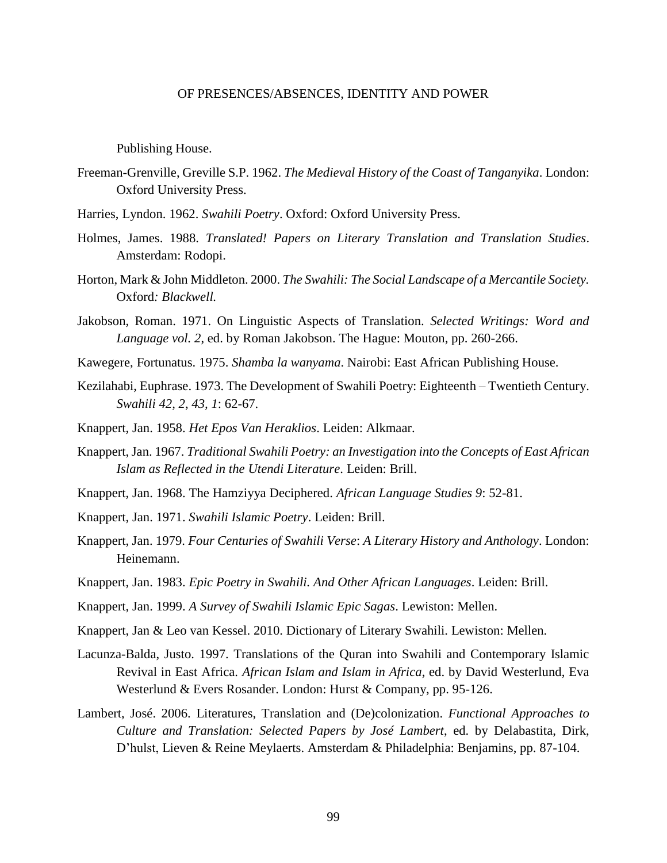Publishing House.

- Freeman-Grenville, Greville S.P. 1962. *The Medieval History of the Coast of Tanganyika*. London: Oxford University Press.
- Harries, Lyndon. 1962. *[Swahili Poetry](http://opacol.unior.it/SebinaOpac/Opac?action=search&thNomeDocumento=X30074510T)*. Oxford: Oxford University Press.
- Holmes, James. 1988. *Translated! Papers on Literary Translation and Translation Studies*. Amsterdam: Rodopi.
- Horton, Mark & John Middleton. 2000. *The Swahili: The Social Landscape of a Mercantile Society.*  Oxford*: Blackwell.*
- Jakobson, Roman. 1971. On Linguistic Aspects of Translation. *Selected Writings: Word and Language vol. 2*, ed. by Roman Jakobson. The Hague: Mouton, pp. 260-266.
- Kawegere, Fortunatus. 1975. *Shamba la wanyama*. Nairobi: East African Publishing House.
- Kezilahabi, Euphrase. 1973. The Development of Swahili Poetry: Eighteenth Twentieth Century. *Swahili 42, 2*, *43, 1*: 62-67.
- Knappert, Jan. 1958. *Het Epos Van Heraklios*. Leiden: Alkmaar.
- Knappert, Jan. 1967. *Traditional Swahili Poetry: an Investigation into the Concepts of East African Islam as Reflected in the Utendi Literature*. Leiden: Brill.
- Knappert, Jan. 1968. The Hamziyya Deciphered. *African Language Studies 9*: 52-81.
- Knappert, Jan. 1971. *Swahili Islamic Poetry*. Leiden: Brill.
- Knappert, Jan. 1979. *Four Centuries of Swahili Verse*: *A Literary History and Anthology*. London: Heinemann.
- Knappert, Jan. 1983. *Epic Poetry in Swahili. And Other African Languages*. Leiden: Brill.
- Knappert, Jan. 1999. *A Survey of Swahili Islamic Epic Sagas*. Lewiston: Mellen.
- [Knappert, Jan](https://opac.uni-bayreuth.de/InfoGuideClient/search.do?methodToCall=quickSearch&Kateg=100&Content=Knappert%2C+Jan) & Leo van Kessel. 2010. Dictionary of Literary Swahili. Lewiston: Mellen.
- Lacunza-Balda, Justo. 1997. Translations of the Quran into Swahili and Contemporary Islamic Revival in East Africa. *African Islam and Islam in Africa*, ed. by David Westerlund, Eva Westerlund & Evers Rosander. London: Hurst & Company, pp. 95-126.
- Lambert, José. 2006. Literatures, Translation and (De)colonization. *Functional Approaches to Culture and Translation: Selected Papers by José Lambert*, ed. by Delabastita, Dirk, D'hulst, Lieven & Reine Meylaerts. Amsterdam & Philadelphia: Benjamins, pp. 87-104.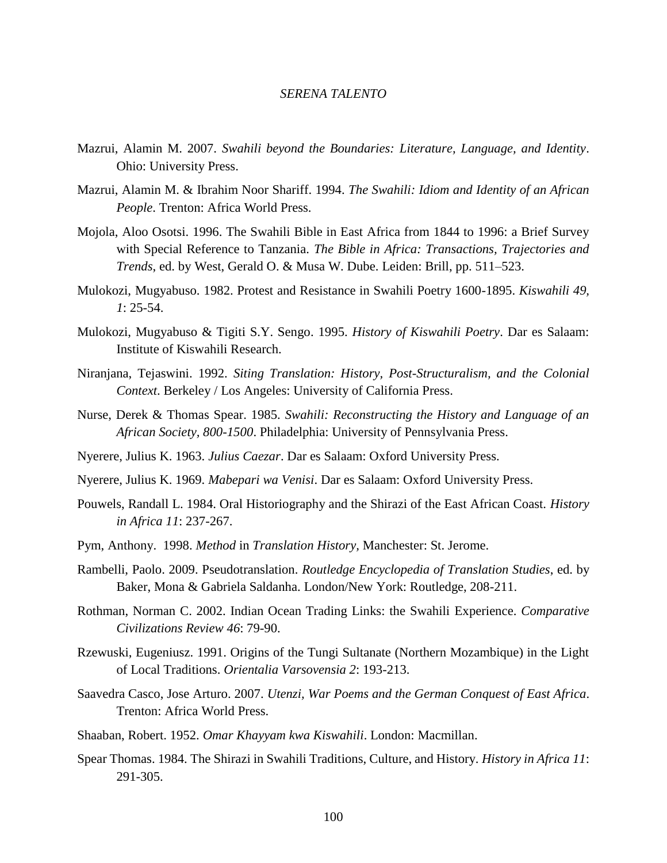- Mazrui, Alamin M. 2007. *Swahili beyond the Boundaries: Literature, Language, and Identity*. Ohio: University Press.
- Mazrui, Alamin M. & Ibrahim Noor Shariff. 1994. *The Swahili: Idiom and Identity of an African People*. Trenton: Africa World Press.
- Mojola, Aloo Osotsi. 1996. The Swahili Bible in East Africa from 1844 to 1996: a Brief Survey with Special Reference to Tanzania. *The Bible in Africa: Transactions, Trajectories and Trends*, ed. by West, Gerald O. & Musa W. Dube. Leiden: Brill, pp. 511–523.
- Mulokozi, Mugyabuso. 1982. Protest and Resistance in Swahili Poetry 1600-1895. *Kiswahili 49, 1*: 25-54.
- Mulokozi, Mugyabuso & Tigiti S.Y. Sengo. 1995. *History of Kiswahili Poetry*. Dar es Salaam: Institute of Kiswahili Research.
- Niranjana, Tejaswini. 1992. *Siting Translation: History, Post-Structuralism, and the Colonial Context*. Berkeley / Los Angeles: University of California Press.
- Nurse, Derek & Thomas Spear. 1985. *Swahili: Reconstructing the History and Language of an African Society, 800-1500*. Philadelphia: University of Pennsylvania Press.
- Nyerere, Julius K. 1963. *Julius Caezar*. Dar es Salaam: Oxford University Press.
- Nyerere, Julius K. 1969. *Mabepari wa Venisi*. Dar es Salaam: Oxford University Press.
- Pouwels, Randall L. 1984. Oral Historiography and the Shirazi of the East African Coast. *History in Africa 11*: 237-267.
- Pym, Anthony. 1998. *Method* in *Translation History,* Manchester: St. Jerome.
- Rambelli, Paolo. 2009. Pseudotranslation. *Routledge Encyclopedia of Translation Studies*, ed. by Baker, Mona & Gabriela Saldanha. London/New York: Routledge, 208-211.
- Rothman, Norman C. 2002. Indian Ocean Trading Links: the Swahili Experience. *Comparative Civilizations Review 46*: 79-90.
- Rzewuski, Eugeniusz. 1991. Origins of the Tungi Sultanate (Northern Mozambique) in the Light of Local Traditions. *Orientalia Varsovensia 2*: 193-213.
- Saavedra Casco, Jose Arturo. 2007. *Utenzi, War Poems and the German Conquest of East Africa*. Trenton: Africa World Press.
- Shaaban, Robert. 1952. *Omar Khayyam kwa Kiswahili*. London: Macmillan.
- Spear Thomas. 1984. The Shirazi in Swahili Traditions, Culture, and History. *History in Africa 11*: 291-305.